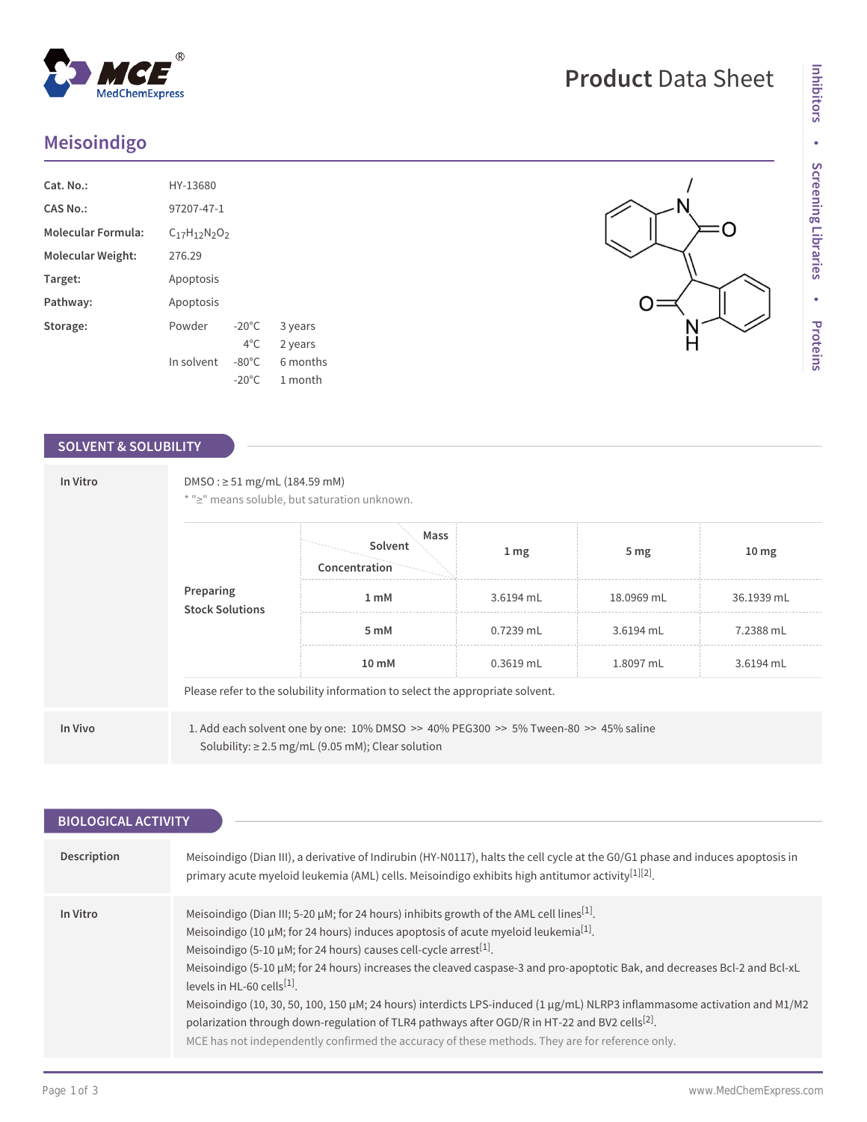## **Meisoindigo**

| Cat. No.:                 | HY-13680                 |                 |          |
|---------------------------|--------------------------|-----------------|----------|
| CAS No.:                  | 97207-47-1               |                 |          |
| <b>Molecular Formula:</b> | $C_{17}H_{12}N_{2}O_{2}$ |                 |          |
| Molecular Weight:         | 276.29                   |                 |          |
| Target:                   | Apoptosis                |                 |          |
| Pathway:                  | Apoptosis                |                 |          |
| Storage:                  | Powder                   | $-20^{\circ}$ C | 3 years  |
|                           |                          | $4^{\circ}$ C   | 2 years  |
|                           | In solvent               | $-80^{\circ}$ C | 6 months |
|                           |                          | $-20^{\circ}$ C | 1 month  |

 $^{\circledR}$ 

MedChemExpress

## **SOLVENT & SOLUBILITY**

| In Vitro |                                     | DMSO: $\geq$ 51 mg/mL (184.59 mM)<br>* ">" means soluble, but saturation unknown.                                                                            |                  |                 |                  |
|----------|-------------------------------------|--------------------------------------------------------------------------------------------------------------------------------------------------------------|------------------|-----------------|------------------|
|          | Preparing<br><b>Stock Solutions</b> | Mass<br>Solvent<br>Concentration                                                                                                                             | $1 \, \text{mg}$ | 5 <sub>mg</sub> | 10 <sub>mg</sub> |
|          |                                     | 1 <sub>mM</sub>                                                                                                                                              | 3.6194 mL        | 18.0969 mL      | 36.1939 mL       |
|          | 5 mM                                | $0.7239$ mL                                                                                                                                                  | 3.6194 mL        | 7.2388 mL       |                  |
|          |                                     | 10 mM                                                                                                                                                        | $0.3619$ mL      | 1.8097 mL       | 3.6194 mL        |
|          |                                     | Please refer to the solubility information to select the appropriate solvent.                                                                                |                  |                 |                  |
| In Vivo  |                                     | 1. Add each solvent one by one: $10\%$ DMSO $\geq$ 40% PEG300 $\geq$ 5% Tween-80 $\geq$ 45% saline<br>Solubility: $\geq$ 2.5 mg/mL (9.05 mM); Clear solution |                  |                 |                  |

| Description<br>Meisoindigo (Dian III), a derivative of Indirubin (HY-N0117), halts the cell cycle at the G0/G1 phase and induces apoptosis in<br>primary acute myeloid leukemia (AML) cells. Meisoindigo exhibits high antitumor activity [1][2].<br>Meisoindigo (Dian III; 5-20 $\mu$ M; for 24 hours) inhibits growth of the AML cell lines <sup>[1]</sup> .<br>In Vitro<br>Meisoindigo (10 $\mu$ M; for 24 hours) induces apoptosis of acute myeloid leukemia <sup>[1]</sup> .<br>Meisoindigo (5-10 $\mu$ M; for 24 hours) causes cell-cycle arrest <sup>[1]</sup> .<br>Meisoindigo (5-10 µM; for 24 hours) increases the cleaved caspase-3 and pro-apoptotic Bak, and decreases Bcl-2 and Bcl-xL<br>levels in HL-60 cells $[1]$ .<br>Meisoindigo (10, 30, 50, 100, 150 µM; 24 hours) interdicts LPS-induced (1 µg/mL) NLRP3 inflammasome activation and M1/M2<br>polarization through down-regulation of TLR4 pathways after OGD/R in HT-22 and BV2 cells <sup>[2]</sup> .<br>MCE has not independently confirmed the accuracy of these methods. They are for reference only. | <b>BIOLOGICAL ACTIVITY</b> |  |
|-----------------------------------------------------------------------------------------------------------------------------------------------------------------------------------------------------------------------------------------------------------------------------------------------------------------------------------------------------------------------------------------------------------------------------------------------------------------------------------------------------------------------------------------------------------------------------------------------------------------------------------------------------------------------------------------------------------------------------------------------------------------------------------------------------------------------------------------------------------------------------------------------------------------------------------------------------------------------------------------------------------------------------------------------------------------------------------|----------------------------|--|
|                                                                                                                                                                                                                                                                                                                                                                                                                                                                                                                                                                                                                                                                                                                                                                                                                                                                                                                                                                                                                                                                                   |                            |  |
|                                                                                                                                                                                                                                                                                                                                                                                                                                                                                                                                                                                                                                                                                                                                                                                                                                                                                                                                                                                                                                                                                   |                            |  |
|                                                                                                                                                                                                                                                                                                                                                                                                                                                                                                                                                                                                                                                                                                                                                                                                                                                                                                                                                                                                                                                                                   |                            |  |

# **Product** Data Sheet

 $= 0$ 

 $\frac{N}{H}$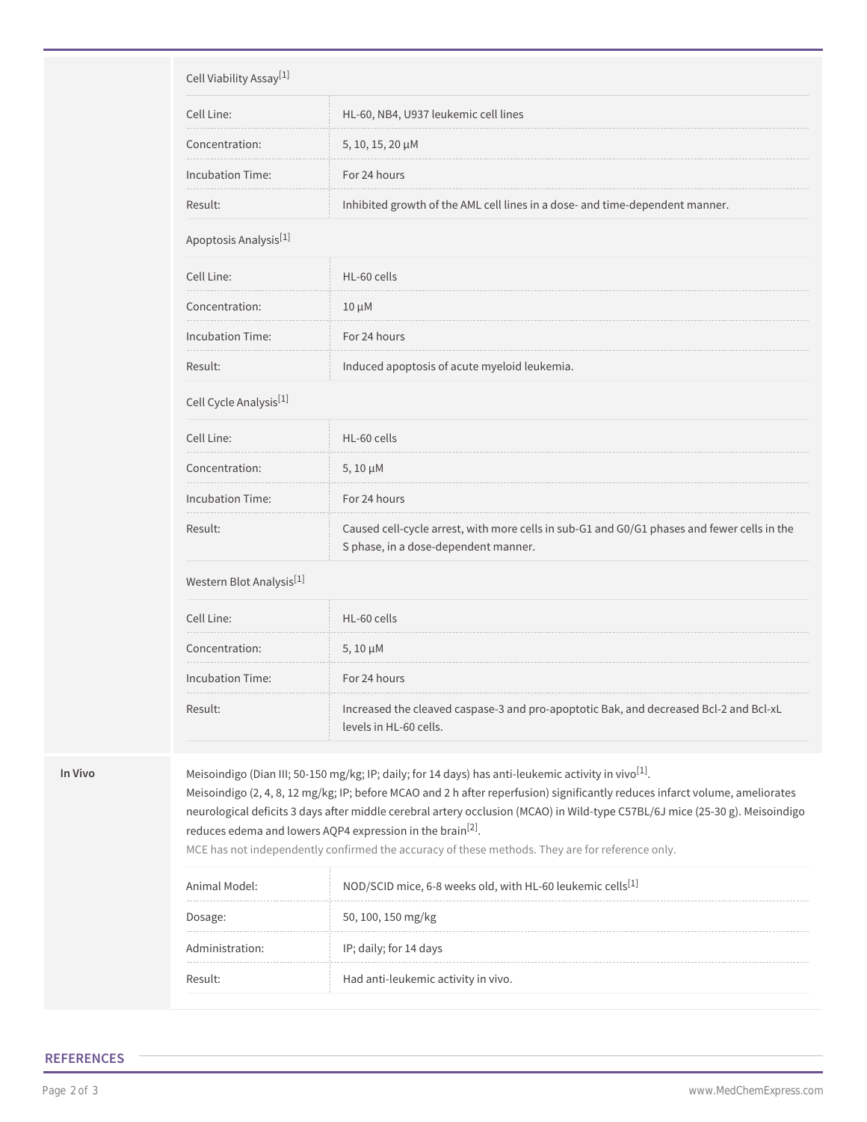| Cell Viability Assay <sup>[1]</sup>       |                                                                              |
|-------------------------------------------|------------------------------------------------------------------------------|
| Cell Line:                                | HL-60, NB4, U937 leukemic cell lines                                         |
| Concentration:                            | 5, 10, 15, 20 µM                                                             |
| Incubation Time:                          | For 24 hours                                                                 |
| Result:                                   | Inhibited growth of the AML cell lines in a dose- and time-dependent manner. |
| Apoptosis Analysis <sup>[1]</sup>         |                                                                              |
| Cell Line:                                | HL-60 cells                                                                  |
| Concentration:                            | $10 \mu M$                                                                   |
| Incubation Time:                          | For 24 hours                                                                 |
| Result:                                   | Induced apoptosis of acute myeloid leukemia.                                 |
| Cell Cycle Analysis <sup>[1]</sup>        |                                                                              |
| Cell Line:                                | HL-60 cells                                                                  |
| $\sim$ $\sim$ $\sim$ $\sim$ $\sim$ $\sim$ |                                                                              |

| Concentration:   | $5,10 \mu M$                                                                                                                        |
|------------------|-------------------------------------------------------------------------------------------------------------------------------------|
| Incubation Time: | For 24 hours                                                                                                                        |
| Result:          | Caused cell-cycle arrest, with more cells in sub-G1 and G0/G1 phases and fewer cells in the<br>S phase, in a dose-dependent manner. |

#### Western Blot Analysis<sup>[1]</sup>

| Cell Line:       | HL-60 cells                                                                                                     |
|------------------|-----------------------------------------------------------------------------------------------------------------|
| Concentration:   | $5,10 \mu M$                                                                                                    |
| Incubation Time: | For 24 hours                                                                                                    |
| Result:          | Increased the cleaved caspase-3 and pro-apoptotic Bak, and decreased Bcl-2 and Bcl-xL<br>levels in HL-60 cells. |

**In Vivo Meisoindigo (Dian III; 50-150 mg/kg; IP; daily; for 14 days) has anti-leukemic activity in vivo<sup>[1]</sup>.** 

Meisoindigo (2, 4, 8, 12 mg/kg; IP; before MCAO and 2 h after reperfusion) significantly reduces infarct volume, ameliorates neurological deficits 3 days after middle cerebral artery occlusion (MCAO) in Wild-type C57BL/6J mice (25-30 g). Meisoindigo reduces edema and lowers AQP4 expression in the brain<sup>[2]</sup>.

MCE has not independently confirmed the accuracy of these methods. They are for reference only.

| Animal Model:   | NOD/SCID mice, 6-8 weeks old, with HL-60 leukemic cells <sup>[1]</sup> |
|-----------------|------------------------------------------------------------------------|
| Dosage:         | 50, 100, 150 mg/kg                                                     |
| Administration: | IP; daily; for 14 days                                                 |
| Result:         | Had anti-leukemic activity in vivo.                                    |

#### **REFERENCES**